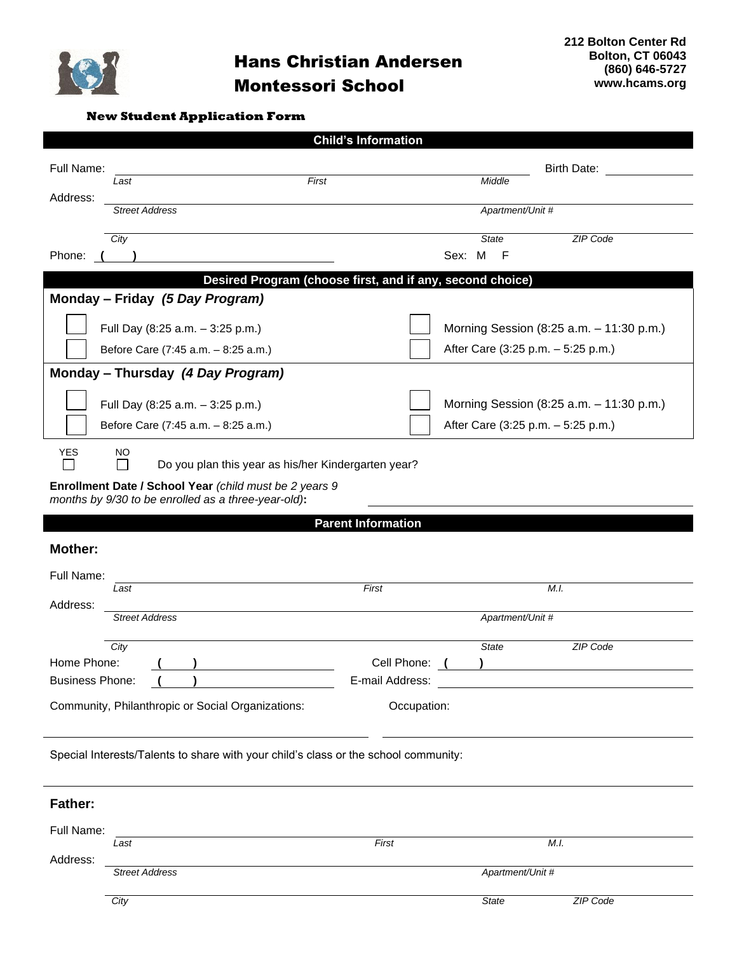

| <b>Child's Information</b>                                                                   |                                                                                     |                           |                                    |                                          |  |  |  |  |
|----------------------------------------------------------------------------------------------|-------------------------------------------------------------------------------------|---------------------------|------------------------------------|------------------------------------------|--|--|--|--|
| Full Name:                                                                                   |                                                                                     |                           |                                    | Birth Date:                              |  |  |  |  |
|                                                                                              | First<br>Last                                                                       |                           | Middle                             |                                          |  |  |  |  |
| Address:                                                                                     | <b>Street Address</b>                                                               |                           | Apartment/Unit #                   |                                          |  |  |  |  |
|                                                                                              |                                                                                     |                           |                                    |                                          |  |  |  |  |
| Phone:                                                                                       | City                                                                                |                           | <b>State</b><br>Sex: M<br>-F       | ZIP Code                                 |  |  |  |  |
|                                                                                              |                                                                                     |                           |                                    |                                          |  |  |  |  |
| Desired Program (choose first, and if any, second choice)<br>Monday - Friday (5 Day Program) |                                                                                     |                           |                                    |                                          |  |  |  |  |
|                                                                                              |                                                                                     |                           |                                    |                                          |  |  |  |  |
|                                                                                              | Full Day (8:25 a.m. - 3:25 p.m.)                                                    |                           |                                    | Morning Session (8:25 a.m. - 11:30 p.m.) |  |  |  |  |
|                                                                                              | Before Care (7:45 a.m. - 8:25 a.m.)                                                 |                           | After Care (3:25 p.m. - 5:25 p.m.) |                                          |  |  |  |  |
| Monday - Thursday (4 Day Program)                                                            |                                                                                     |                           |                                    |                                          |  |  |  |  |
|                                                                                              | Full Day (8:25 a.m. - 3:25 p.m.)                                                    |                           |                                    | Morning Session (8:25 a.m. - 11:30 p.m.) |  |  |  |  |
|                                                                                              | Before Care (7:45 a.m. - 8:25 a.m.)                                                 |                           | After Care (3:25 p.m. - 5:25 p.m.) |                                          |  |  |  |  |
|                                                                                              |                                                                                     |                           |                                    |                                          |  |  |  |  |
| <b>YES</b><br>NO<br>Do you plan this year as his/her Kindergarten year?                      |                                                                                     |                           |                                    |                                          |  |  |  |  |
| Enrollment Date / School Year (child must be 2 years 9                                       |                                                                                     |                           |                                    |                                          |  |  |  |  |
|                                                                                              |                                                                                     |                           |                                    |                                          |  |  |  |  |
|                                                                                              | months by 9/30 to be enrolled as a three-year-old):                                 |                           |                                    |                                          |  |  |  |  |
|                                                                                              |                                                                                     | <b>Parent Information</b> |                                    |                                          |  |  |  |  |
| <b>Mother:</b>                                                                               |                                                                                     |                           |                                    |                                          |  |  |  |  |
| Full Name:                                                                                   |                                                                                     |                           |                                    |                                          |  |  |  |  |
|                                                                                              | Last                                                                                | First                     |                                    | M.I.                                     |  |  |  |  |
| Address:                                                                                     | <b>Street Address</b>                                                               |                           | Apartment/Unit #                   |                                          |  |  |  |  |
|                                                                                              |                                                                                     |                           |                                    |                                          |  |  |  |  |
| Home Phone:                                                                                  | City                                                                                | Cell Phone:               | <b>State</b>                       | ZIP Code                                 |  |  |  |  |
| <b>Business Phone:</b>                                                                       |                                                                                     | E-mail Address:           |                                    |                                          |  |  |  |  |
|                                                                                              | Community, Philanthropic or Social Organizations:                                   | Occupation:               |                                    |                                          |  |  |  |  |
|                                                                                              |                                                                                     |                           |                                    |                                          |  |  |  |  |
|                                                                                              |                                                                                     |                           |                                    |                                          |  |  |  |  |
|                                                                                              | Special Interests/Talents to share with your child's class or the school community: |                           |                                    |                                          |  |  |  |  |
|                                                                                              |                                                                                     |                           |                                    |                                          |  |  |  |  |
| <b>Father:</b>                                                                               |                                                                                     |                           |                                    |                                          |  |  |  |  |
| Full Name:                                                                                   |                                                                                     |                           |                                    |                                          |  |  |  |  |
|                                                                                              | Last                                                                                | First                     |                                    | M.I.                                     |  |  |  |  |
| Address:                                                                                     | <b>Street Address</b>                                                               |                           | Apartment/Unit #                   |                                          |  |  |  |  |